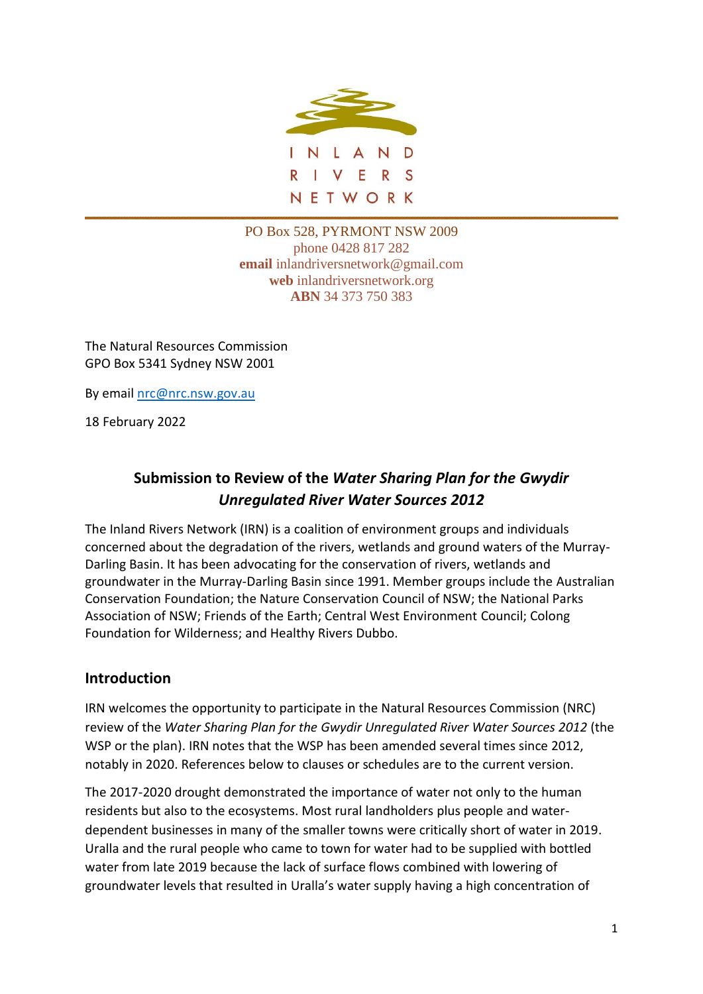

PO Box 528, PYRMONT NSW 2009 phone 0428 817 282 **email** inlandriversnetwork@gmail.com **web** inlandriversnetwork.org **ABN** 34 373 750 383

The Natural Resources Commission GPO Box 5341 Sydney NSW 2001

By email [nrc@nrc.nsw.gov.au](mailto:nrc@nrc.nsw.gov.au)

18 February 2022

# **Submission to Review of the** *Water Sharing Plan for the Gwydir Unregulated River Water Sources 2012*

The Inland Rivers Network (IRN) is a coalition of environment groups and individuals concerned about the degradation of the rivers, wetlands and ground waters of the Murray-Darling Basin. It has been advocating for the conservation of rivers, wetlands and groundwater in the Murray-Darling Basin since 1991. Member groups include the Australian Conservation Foundation; the Nature Conservation Council of NSW; the National Parks Association of NSW; Friends of the Earth; Central West Environment Council; Colong Foundation for Wilderness; and Healthy Rivers Dubbo.

# **Introduction**

IRN welcomes the opportunity to participate in the Natural Resources Commission (NRC) review of the *Water Sharing Plan for the Gwydir Unregulated River Water Sources 2012* (the WSP or the plan). IRN notes that the WSP has been amended several times since 2012, notably in 2020. References below to clauses or schedules are to the current version.

The 2017-2020 drought demonstrated the importance of water not only to the human residents but also to the ecosystems. Most rural landholders plus people and waterdependent businesses in many of the smaller towns were critically short of water in 2019. Uralla and the rural people who came to town for water had to be supplied with bottled water from late 2019 because the lack of surface flows combined with lowering of groundwater levels that resulted in Uralla's water supply having a high concentration of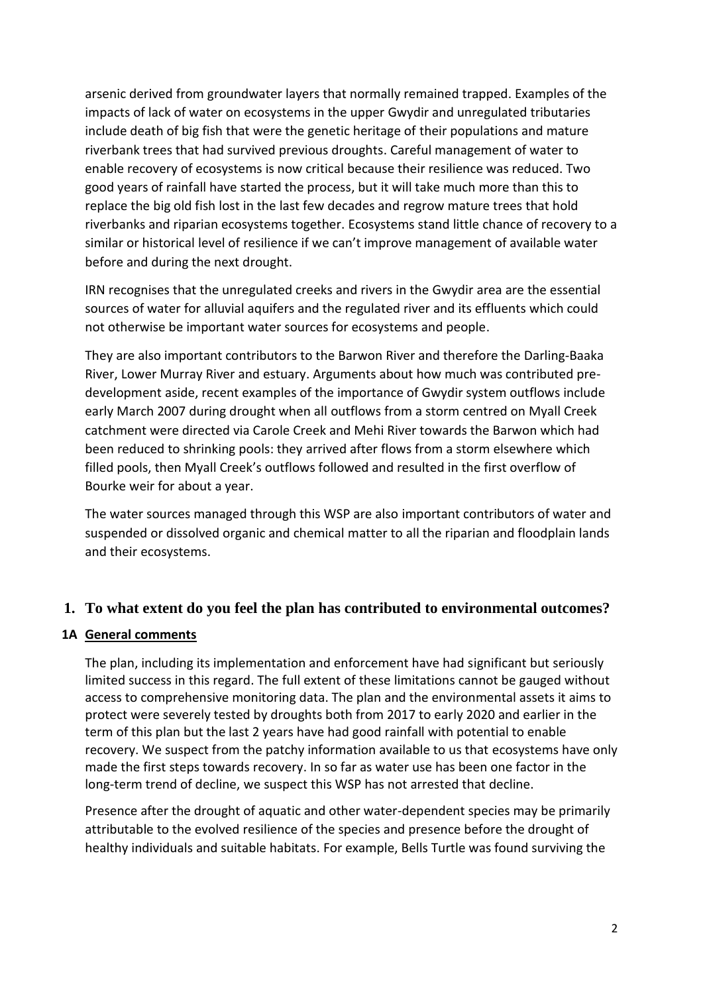arsenic derived from groundwater layers that normally remained trapped. Examples of the impacts of lack of water on ecosystems in the upper Gwydir and unregulated tributaries include death of big fish that were the genetic heritage of their populations and mature riverbank trees that had survived previous droughts. Careful management of water to enable recovery of ecosystems is now critical because their resilience was reduced. Two good years of rainfall have started the process, but it will take much more than this to replace the big old fish lost in the last few decades and regrow mature trees that hold riverbanks and riparian ecosystems together. Ecosystems stand little chance of recovery to a similar or historical level of resilience if we can't improve management of available water before and during the next drought.

IRN recognises that the unregulated creeks and rivers in the Gwydir area are the essential sources of water for alluvial aquifers and the regulated river and its effluents which could not otherwise be important water sources for ecosystems and people.

They are also important contributors to the Barwon River and therefore the Darling-Baaka River, Lower Murray River and estuary. Arguments about how much was contributed predevelopment aside, recent examples of the importance of Gwydir system outflows include early March 2007 during drought when all outflows from a storm centred on Myall Creek catchment were directed via Carole Creek and Mehi River towards the Barwon which had been reduced to shrinking pools: they arrived after flows from a storm elsewhere which filled pools, then Myall Creek's outflows followed and resulted in the first overflow of Bourke weir for about a year.

The water sources managed through this WSP are also important contributors of water and suspended or dissolved organic and chemical matter to all the riparian and floodplain lands and their ecosystems.

# **1. To what extent do you feel the plan has contributed to environmental outcomes?**

# **1A General comments**

The plan, including its implementation and enforcement have had significant but seriously limited success in this regard. The full extent of these limitations cannot be gauged without access to comprehensive monitoring data. The plan and the environmental assets it aims to protect were severely tested by droughts both from 2017 to early 2020 and earlier in the term of this plan but the last 2 years have had good rainfall with potential to enable recovery. We suspect from the patchy information available to us that ecosystems have only made the first steps towards recovery. In so far as water use has been one factor in the long-term trend of decline, we suspect this WSP has not arrested that decline.

Presence after the drought of aquatic and other water-dependent species may be primarily attributable to the evolved resilience of the species and presence before the drought of healthy individuals and suitable habitats. For example, Bells Turtle was found surviving the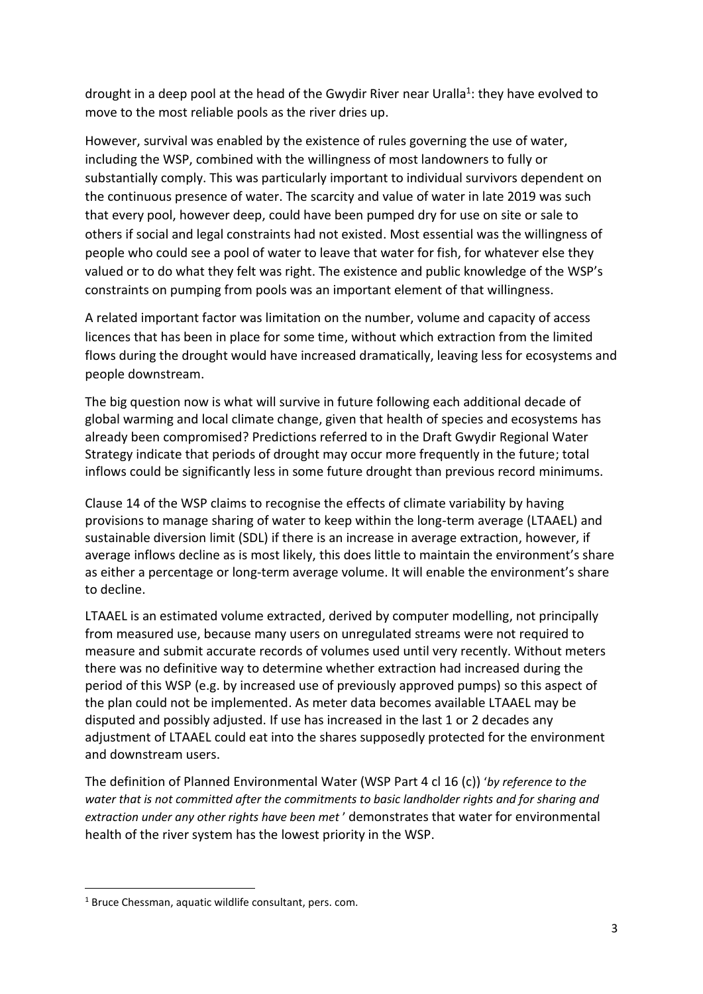drought in a deep pool at the head of the Gwydir River near Uralla<sup>1</sup>: they have evolved to move to the most reliable pools as the river dries up.

However, survival was enabled by the existence of rules governing the use of water, including the WSP, combined with the willingness of most landowners to fully or substantially comply. This was particularly important to individual survivors dependent on the continuous presence of water. The scarcity and value of water in late 2019 was such that every pool, however deep, could have been pumped dry for use on site or sale to others if social and legal constraints had not existed. Most essential was the willingness of people who could see a pool of water to leave that water for fish, for whatever else they valued or to do what they felt was right. The existence and public knowledge of the WSP's constraints on pumping from pools was an important element of that willingness.

A related important factor was limitation on the number, volume and capacity of access licences that has been in place for some time, without which extraction from the limited flows during the drought would have increased dramatically, leaving less for ecosystems and people downstream.

The big question now is what will survive in future following each additional decade of global warming and local climate change, given that health of species and ecosystems has already been compromised? Predictions referred to in the Draft Gwydir Regional Water Strategy indicate that periods of drought may occur more frequently in the future; total inflows could be significantly less in some future drought than previous record minimums.

Clause 14 of the WSP claims to recognise the effects of climate variability by having provisions to manage sharing of water to keep within the long-term average (LTAAEL) and sustainable diversion limit (SDL) if there is an increase in average extraction, however, if average inflows decline as is most likely, this does little to maintain the environment's share as either a percentage or long-term average volume. It will enable the environment's share to decline.

LTAAEL is an estimated volume extracted, derived by computer modelling, not principally from measured use, because many users on unregulated streams were not required to measure and submit accurate records of volumes used until very recently. Without meters there was no definitive way to determine whether extraction had increased during the period of this WSP (e.g. by increased use of previously approved pumps) so this aspect of the plan could not be implemented. As meter data becomes available LTAAEL may be disputed and possibly adjusted. If use has increased in the last 1 or 2 decades any adjustment of LTAAEL could eat into the shares supposedly protected for the environment and downstream users.

The definition of Planned Environmental Water (WSP Part 4 cl 16 (c)) '*by reference to the water that is not committed after the commitments to basic landholder rights and for sharing and extraction under any other rights have been met* ' demonstrates that water for environmental health of the river system has the lowest priority in the WSP.

<sup>1</sup> Bruce Chessman, aquatic wildlife consultant, pers. com.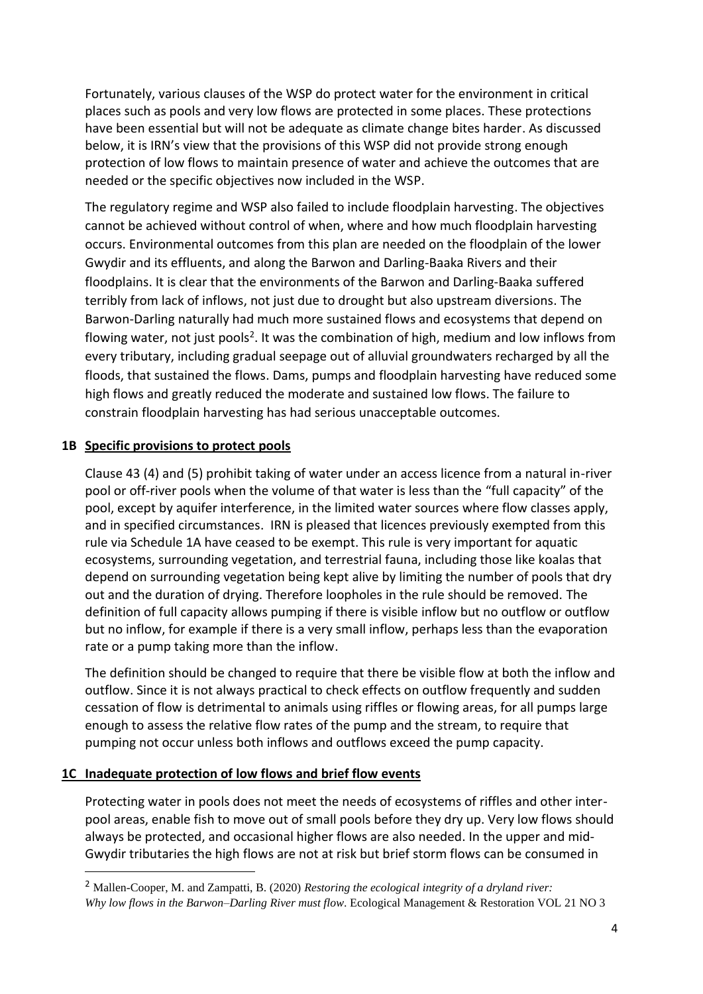Fortunately, various clauses of the WSP do protect water for the environment in critical places such as pools and very low flows are protected in some places. These protections have been essential but will not be adequate as climate change bites harder. As discussed below, it is IRN's view that the provisions of this WSP did not provide strong enough protection of low flows to maintain presence of water and achieve the outcomes that are needed or the specific objectives now included in the WSP.

The regulatory regime and WSP also failed to include floodplain harvesting. The objectives cannot be achieved without control of when, where and how much floodplain harvesting occurs. Environmental outcomes from this plan are needed on the floodplain of the lower Gwydir and its effluents, and along the Barwon and Darling-Baaka Rivers and their floodplains. It is clear that the environments of the Barwon and Darling-Baaka suffered terribly from lack of inflows, not just due to drought but also upstream diversions. The Barwon-Darling naturally had much more sustained flows and ecosystems that depend on flowing water, not just pools<sup>2</sup>. It was the combination of high, medium and low inflows from every tributary, including gradual seepage out of alluvial groundwaters recharged by all the floods, that sustained the flows. Dams, pumps and floodplain harvesting have reduced some high flows and greatly reduced the moderate and sustained low flows. The failure to constrain floodplain harvesting has had serious unacceptable outcomes.

### **1B Specific provisions to protect pools**

Clause 43 (4) and (5) prohibit taking of water under an access licence from a natural in-river pool or off-river pools when the volume of that water is less than the "full capacity" of the pool, except by aquifer interference, in the limited water sources where flow classes apply, and in specified circumstances. IRN is pleased that licences previously exempted from this rule via Schedule 1A have ceased to be exempt. This rule is very important for aquatic ecosystems, surrounding vegetation, and terrestrial fauna, including those like koalas that depend on surrounding vegetation being kept alive by limiting the number of pools that dry out and the duration of drying. Therefore loopholes in the rule should be removed. The definition of full capacity allows pumping if there is visible inflow but no outflow or outflow but no inflow, for example if there is a very small inflow, perhaps less than the evaporation rate or a pump taking more than the inflow.

The definition should be changed to require that there be visible flow at both the inflow and outflow. Since it is not always practical to check effects on outflow frequently and sudden cessation of flow is detrimental to animals using riffles or flowing areas, for all pumps large enough to assess the relative flow rates of the pump and the stream, to require that pumping not occur unless both inflows and outflows exceed the pump capacity.

# **1C Inadequate protection of low flows and brief flow events**

Protecting water in pools does not meet the needs of ecosystems of riffles and other interpool areas, enable fish to move out of small pools before they dry up. Very low flows should always be protected, and occasional higher flows are also needed. In the upper and mid-Gwydir tributaries the high flows are not at risk but brief storm flows can be consumed in

<sup>2</sup> Mallen-Cooper, M. and Zampatti, B. (2020) *Restoring the ecological integrity of a dryland river: Why low flows in the Barwon–Darling River must flow*. Ecological Management & Restoration VOL 21 NO 3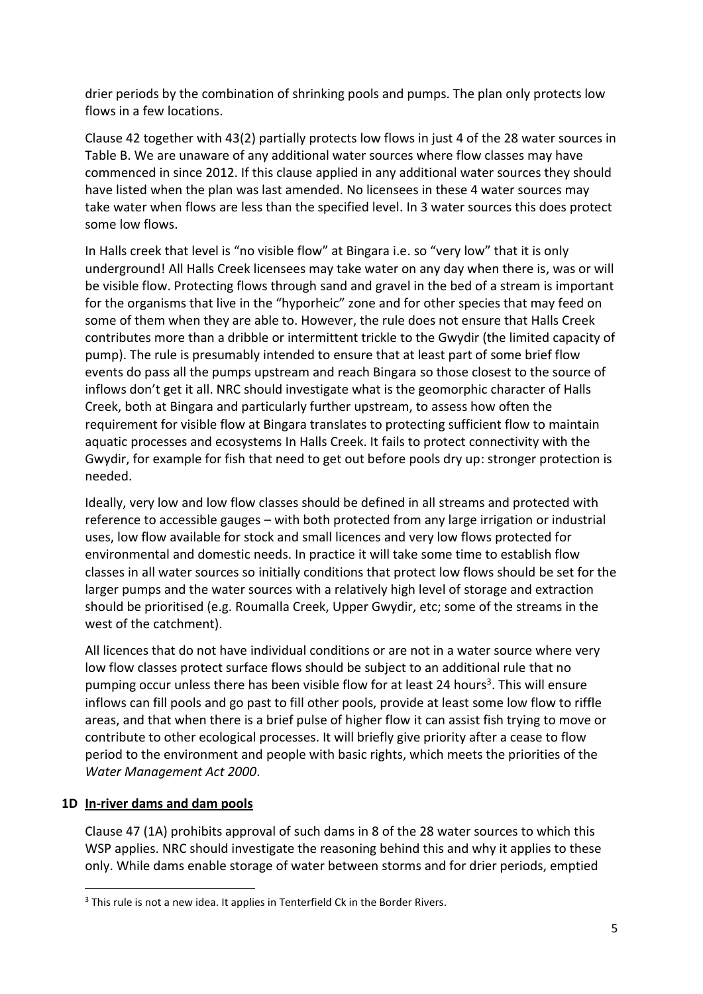drier periods by the combination of shrinking pools and pumps. The plan only protects low flows in a few locations.

Clause 42 together with 43(2) partially protects low flows in just 4 of the 28 water sources in Table B. We are unaware of any additional water sources where flow classes may have commenced in since 2012. If this clause applied in any additional water sources they should have listed when the plan was last amended. No licensees in these 4 water sources may take water when flows are less than the specified level. In 3 water sources this does protect some low flows.

In Halls creek that level is "no visible flow" at Bingara i.e. so "very low" that it is only underground! All Halls Creek licensees may take water on any day when there is, was or will be visible flow. Protecting flows through sand and gravel in the bed of a stream is important for the organisms that live in the "hyporheic" zone and for other species that may feed on some of them when they are able to. However, the rule does not ensure that Halls Creek contributes more than a dribble or intermittent trickle to the Gwydir (the limited capacity of pump). The rule is presumably intended to ensure that at least part of some brief flow events do pass all the pumps upstream and reach Bingara so those closest to the source of inflows don't get it all. NRC should investigate what is the geomorphic character of Halls Creek, both at Bingara and particularly further upstream, to assess how often the requirement for visible flow at Bingara translates to protecting sufficient flow to maintain aquatic processes and ecosystems In Halls Creek. It fails to protect connectivity with the Gwydir, for example for fish that need to get out before pools dry up: stronger protection is needed.

Ideally, very low and low flow classes should be defined in all streams and protected with reference to accessible gauges – with both protected from any large irrigation or industrial uses, low flow available for stock and small licences and very low flows protected for environmental and domestic needs. In practice it will take some time to establish flow classes in all water sources so initially conditions that protect low flows should be set for the larger pumps and the water sources with a relatively high level of storage and extraction should be prioritised (e.g. Roumalla Creek, Upper Gwydir, etc; some of the streams in the west of the catchment).

All licences that do not have individual conditions or are not in a water source where very low flow classes protect surface flows should be subject to an additional rule that no pumping occur unless there has been visible flow for at least 24 hours<sup>3</sup>. This will ensure inflows can fill pools and go past to fill other pools, provide at least some low flow to riffle areas, and that when there is a brief pulse of higher flow it can assist fish trying to move or contribute to other ecological processes. It will briefly give priority after a cease to flow period to the environment and people with basic rights, which meets the priorities of the *Water Management Act 2000*.

# **1D In-river dams and dam pools**

Clause 47 (1A) prohibits approval of such dams in 8 of the 28 water sources to which this WSP applies. NRC should investigate the reasoning behind this and why it applies to these only. While dams enable storage of water between storms and for drier periods, emptied

<sup>&</sup>lt;sup>3</sup> This rule is not a new idea. It applies in Tenterfield Ck in the Border Rivers.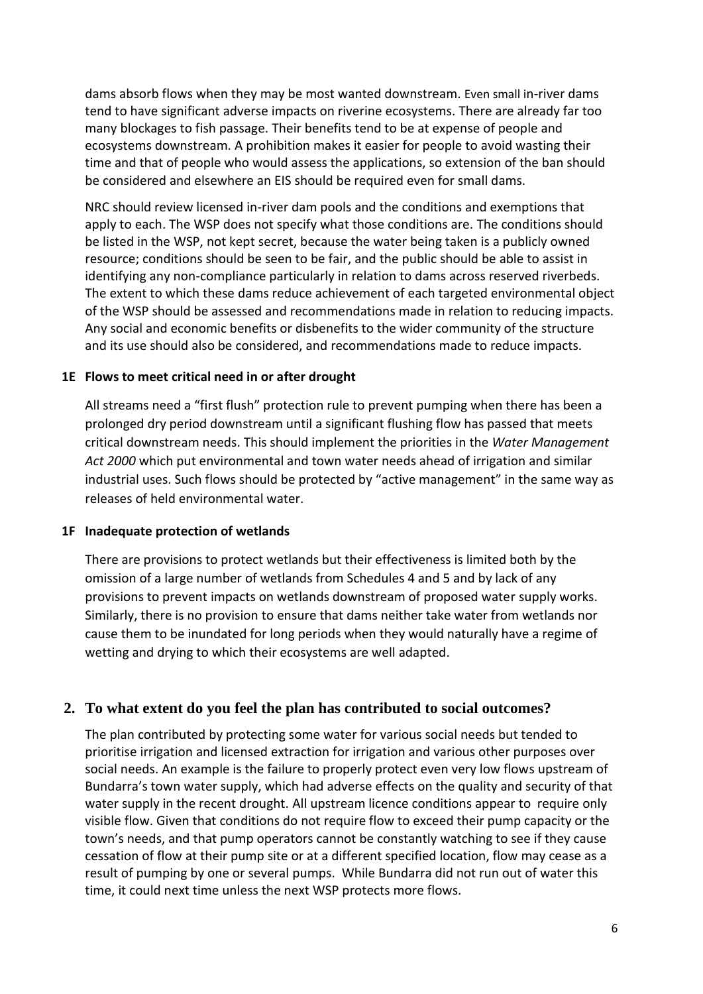dams absorb flows when they may be most wanted downstream. Even small in-river dams tend to have significant adverse impacts on riverine ecosystems. There are already far too many blockages to fish passage. Their benefits tend to be at expense of people and ecosystems downstream. A prohibition makes it easier for people to avoid wasting their time and that of people who would assess the applications, so extension of the ban should be considered and elsewhere an EIS should be required even for small dams.

NRC should review licensed in-river dam pools and the conditions and exemptions that apply to each. The WSP does not specify what those conditions are. The conditions should be listed in the WSP, not kept secret, because the water being taken is a publicly owned resource; conditions should be seen to be fair, and the public should be able to assist in identifying any non-compliance particularly in relation to dams across reserved riverbeds. The extent to which these dams reduce achievement of each targeted environmental object of the WSP should be assessed and recommendations made in relation to reducing impacts. Any social and economic benefits or disbenefits to the wider community of the structure and its use should also be considered, and recommendations made to reduce impacts.

### **1E Flows to meet critical need in or after drought**

All streams need a "first flush" protection rule to prevent pumping when there has been a prolonged dry period downstream until a significant flushing flow has passed that meets critical downstream needs. This should implement the priorities in the *Water Management Act 2000* which put environmental and town water needs ahead of irrigation and similar industrial uses. Such flows should be protected by "active management" in the same way as releases of held environmental water.

### **1F Inadequate protection of wetlands**

There are provisions to protect wetlands but their effectiveness is limited both by the omission of a large number of wetlands from Schedules 4 and 5 and by lack of any provisions to prevent impacts on wetlands downstream of proposed water supply works. Similarly, there is no provision to ensure that dams neither take water from wetlands nor cause them to be inundated for long periods when they would naturally have a regime of wetting and drying to which their ecosystems are well adapted.

### **2. To what extent do you feel the plan has contributed to social outcomes?**

The plan contributed by protecting some water for various social needs but tended to prioritise irrigation and licensed extraction for irrigation and various other purposes over social needs. An example is the failure to properly protect even very low flows upstream of Bundarra's town water supply, which had adverse effects on the quality and security of that water supply in the recent drought. All upstream licence conditions appear to require only visible flow. Given that conditions do not require flow to exceed their pump capacity or the town's needs, and that pump operators cannot be constantly watching to see if they cause cessation of flow at their pump site or at a different specified location, flow may cease as a result of pumping by one or several pumps. While Bundarra did not run out of water this time, it could next time unless the next WSP protects more flows.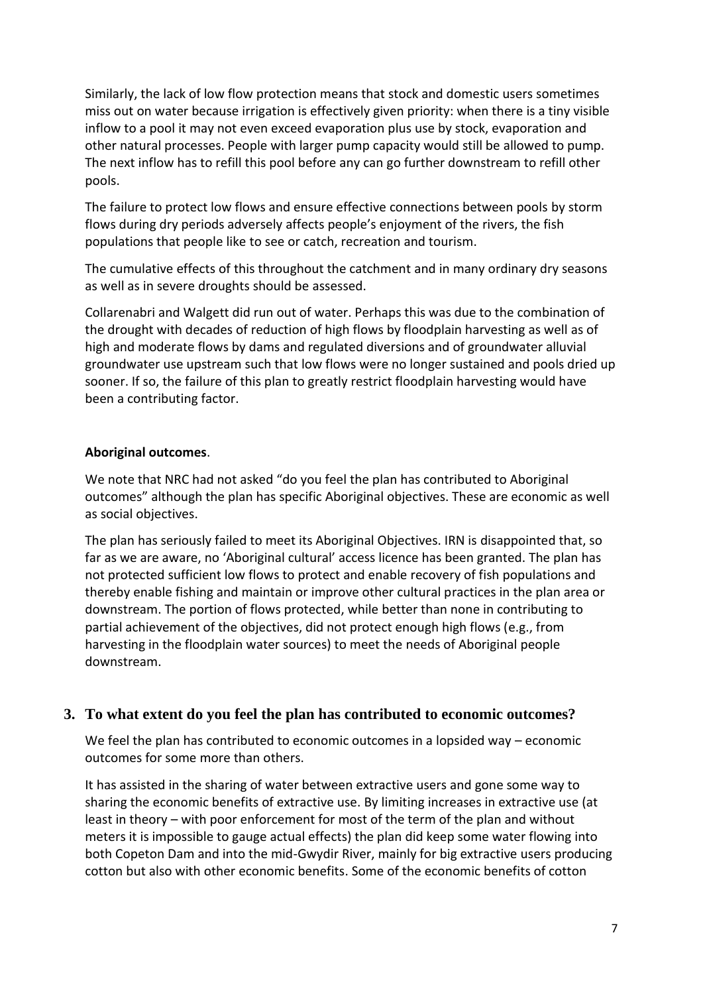Similarly, the lack of low flow protection means that stock and domestic users sometimes miss out on water because irrigation is effectively given priority: when there is a tiny visible inflow to a pool it may not even exceed evaporation plus use by stock, evaporation and other natural processes. People with larger pump capacity would still be allowed to pump. The next inflow has to refill this pool before any can go further downstream to refill other pools.

The failure to protect low flows and ensure effective connections between pools by storm flows during dry periods adversely affects people's enjoyment of the rivers, the fish populations that people like to see or catch, recreation and tourism.

The cumulative effects of this throughout the catchment and in many ordinary dry seasons as well as in severe droughts should be assessed.

Collarenabri and Walgett did run out of water. Perhaps this was due to the combination of the drought with decades of reduction of high flows by floodplain harvesting as well as of high and moderate flows by dams and regulated diversions and of groundwater alluvial groundwater use upstream such that low flows were no longer sustained and pools dried up sooner. If so, the failure of this plan to greatly restrict floodplain harvesting would have been a contributing factor.

### **Aboriginal outcomes**.

We note that NRC had not asked "do you feel the plan has contributed to Aboriginal outcomes" although the plan has specific Aboriginal objectives. These are economic as well as social objectives.

The plan has seriously failed to meet its Aboriginal Objectives. IRN is disappointed that, so far as we are aware, no 'Aboriginal cultural' access licence has been granted. The plan has not protected sufficient low flows to protect and enable recovery of fish populations and thereby enable fishing and maintain or improve other cultural practices in the plan area or downstream. The portion of flows protected, while better than none in contributing to partial achievement of the objectives, did not protect enough high flows (e.g., from harvesting in the floodplain water sources) to meet the needs of Aboriginal people downstream.

# **3. To what extent do you feel the plan has contributed to economic outcomes?**

We feel the plan has contributed to economic outcomes in a lopsided way – economic outcomes for some more than others.

It has assisted in the sharing of water between extractive users and gone some way to sharing the economic benefits of extractive use. By limiting increases in extractive use (at least in theory – with poor enforcement for most of the term of the plan and without meters it is impossible to gauge actual effects) the plan did keep some water flowing into both Copeton Dam and into the mid-Gwydir River, mainly for big extractive users producing cotton but also with other economic benefits. Some of the economic benefits of cotton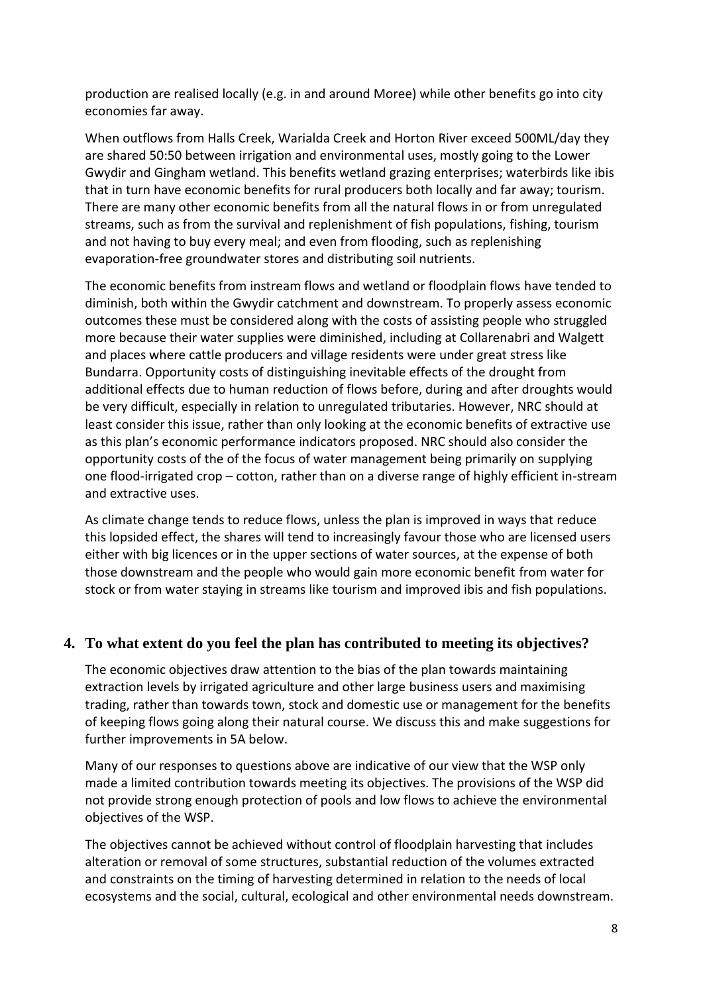production are realised locally (e.g. in and around Moree) while other benefits go into city economies far away.

When outflows from Halls Creek, Warialda Creek and Horton River exceed 500ML/day they are shared 50:50 between irrigation and environmental uses, mostly going to the Lower Gwydir and Gingham wetland. This benefits wetland grazing enterprises; waterbirds like ibis that in turn have economic benefits for rural producers both locally and far away; tourism. There are many other economic benefits from all the natural flows in or from unregulated streams, such as from the survival and replenishment of fish populations, fishing, tourism and not having to buy every meal; and even from flooding, such as replenishing evaporation-free groundwater stores and distributing soil nutrients.

The economic benefits from instream flows and wetland or floodplain flows have tended to diminish, both within the Gwydir catchment and downstream. To properly assess economic outcomes these must be considered along with the costs of assisting people who struggled more because their water supplies were diminished, including at Collarenabri and Walgett and places where cattle producers and village residents were under great stress like Bundarra. Opportunity costs of distinguishing inevitable effects of the drought from additional effects due to human reduction of flows before, during and after droughts would be very difficult, especially in relation to unregulated tributaries. However, NRC should at least consider this issue, rather than only looking at the economic benefits of extractive use as this plan's economic performance indicators proposed. NRC should also consider the opportunity costs of the of the focus of water management being primarily on supplying one flood-irrigated crop – cotton, rather than on a diverse range of highly efficient in-stream and extractive uses.

As climate change tends to reduce flows, unless the plan is improved in ways that reduce this lopsided effect, the shares will tend to increasingly favour those who are licensed users either with big licences or in the upper sections of water sources, at the expense of both those downstream and the people who would gain more economic benefit from water for stock or from water staying in streams like tourism and improved ibis and fish populations.

# **4. To what extent do you feel the plan has contributed to meeting its objectives?**

The economic objectives draw attention to the bias of the plan towards maintaining extraction levels by irrigated agriculture and other large business users and maximising trading, rather than towards town, stock and domestic use or management for the benefits of keeping flows going along their natural course. We discuss this and make suggestions for further improvements in 5A below.

Many of our responses to questions above are indicative of our view that the WSP only made a limited contribution towards meeting its objectives. The provisions of the WSP did not provide strong enough protection of pools and low flows to achieve the environmental objectives of the WSP.

The objectives cannot be achieved without control of floodplain harvesting that includes alteration or removal of some structures, substantial reduction of the volumes extracted and constraints on the timing of harvesting determined in relation to the needs of local ecosystems and the social, cultural, ecological and other environmental needs downstream.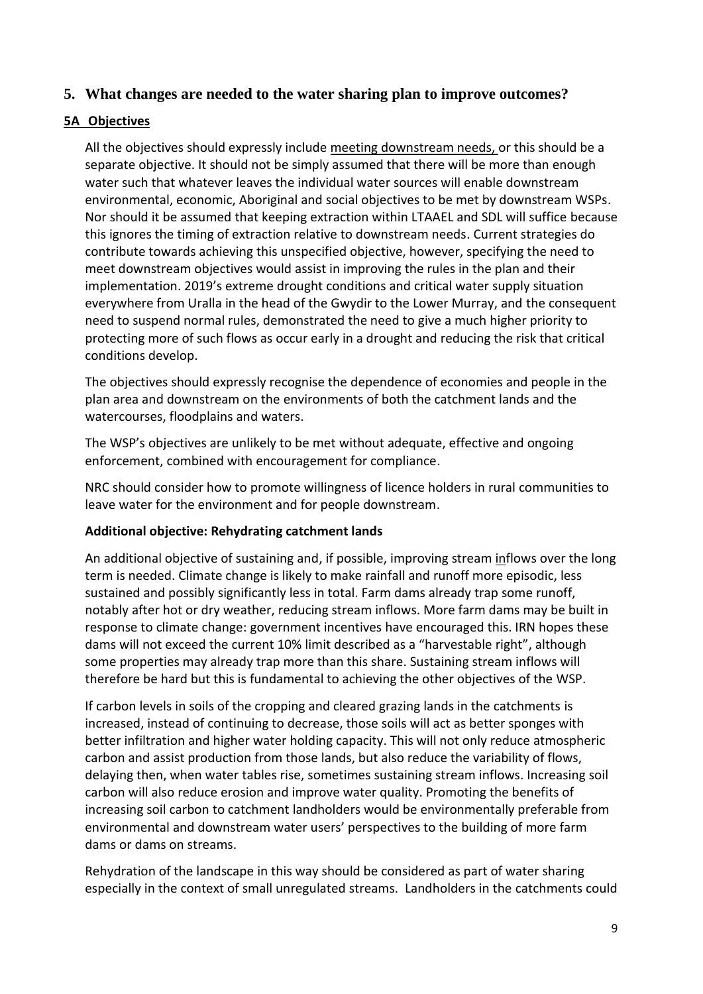# **5. What changes are needed to the water sharing plan to improve outcomes?**

# **5A Objectives**

All the objectives should expressly include meeting downstream needs, or this should be a separate objective. It should not be simply assumed that there will be more than enough water such that whatever leaves the individual water sources will enable downstream environmental, economic, Aboriginal and social objectives to be met by downstream WSPs. Nor should it be assumed that keeping extraction within LTAAEL and SDL will suffice because this ignores the timing of extraction relative to downstream needs. Current strategies do contribute towards achieving this unspecified objective, however, specifying the need to meet downstream objectives would assist in improving the rules in the plan and their implementation. 2019's extreme drought conditions and critical water supply situation everywhere from Uralla in the head of the Gwydir to the Lower Murray, and the consequent need to suspend normal rules, demonstrated the need to give a much higher priority to protecting more of such flows as occur early in a drought and reducing the risk that critical conditions develop.

The objectives should expressly recognise the dependence of economies and people in the plan area and downstream on the environments of both the catchment lands and the watercourses, floodplains and waters.

The WSP's objectives are unlikely to be met without adequate, effective and ongoing enforcement, combined with encouragement for compliance.

NRC should consider how to promote willingness of licence holders in rural communities to leave water for the environment and for people downstream.

### **Additional objective: Rehydrating catchment lands**

An additional objective of sustaining and, if possible, improving stream inflows over the long term is needed. Climate change is likely to make rainfall and runoff more episodic, less sustained and possibly significantly less in total. Farm dams already trap some runoff, notably after hot or dry weather, reducing stream inflows. More farm dams may be built in response to climate change: government incentives have encouraged this. IRN hopes these dams will not exceed the current 10% limit described as a "harvestable right", although some properties may already trap more than this share. Sustaining stream inflows will therefore be hard but this is fundamental to achieving the other objectives of the WSP.

If carbon levels in soils of the cropping and cleared grazing lands in the catchments is increased, instead of continuing to decrease, those soils will act as better sponges with better infiltration and higher water holding capacity. This will not only reduce atmospheric carbon and assist production from those lands, but also reduce the variability of flows, delaying then, when water tables rise, sometimes sustaining stream inflows. Increasing soil carbon will also reduce erosion and improve water quality. Promoting the benefits of increasing soil carbon to catchment landholders would be environmentally preferable from environmental and downstream water users' perspectives to the building of more farm dams or dams on streams.

Rehydration of the landscape in this way should be considered as part of water sharing especially in the context of small unregulated streams. Landholders in the catchments could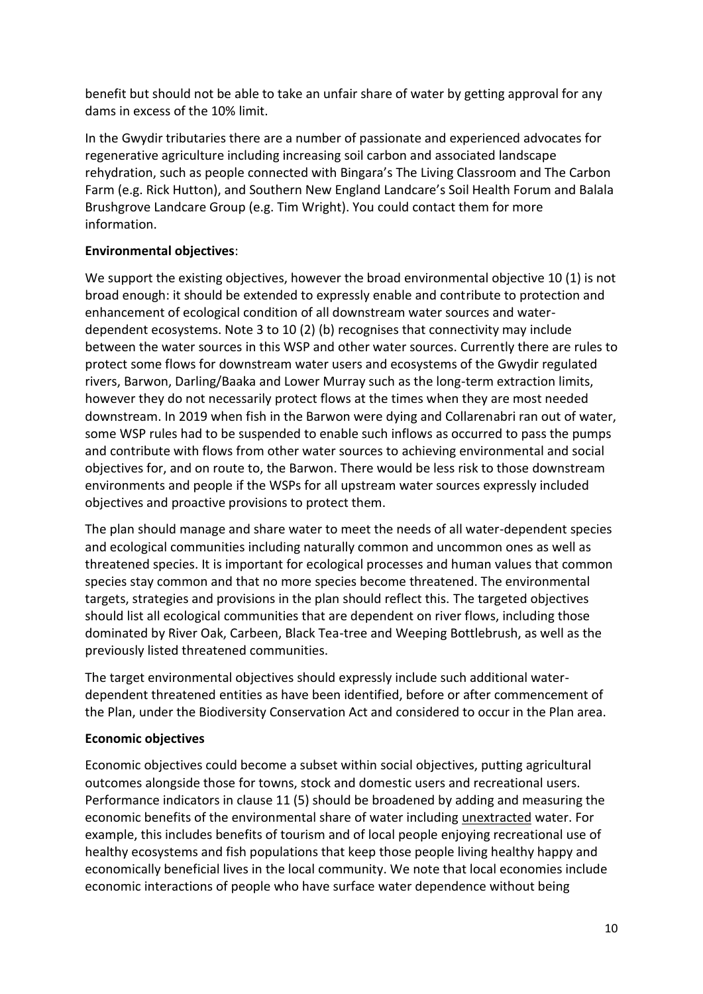benefit but should not be able to take an unfair share of water by getting approval for any dams in excess of the 10% limit.

In the Gwydir tributaries there are a number of passionate and experienced advocates for regenerative agriculture including increasing soil carbon and associated landscape rehydration, such as people connected with Bingara's The Living Classroom and The Carbon Farm (e.g. Rick Hutton), and Southern New England Landcare's Soil Health Forum and Balala Brushgrove Landcare Group (e.g. Tim Wright). You could contact them for more information.

# **Environmental objectives**:

We support the existing objectives, however the broad environmental objective 10 (1) is not broad enough: it should be extended to expressly enable and contribute to protection and enhancement of ecological condition of all downstream water sources and waterdependent ecosystems. Note 3 to 10 (2) (b) recognises that connectivity may include between the water sources in this WSP and other water sources. Currently there are rules to protect some flows for downstream water users and ecosystems of the Gwydir regulated rivers, Barwon, Darling/Baaka and Lower Murray such as the long-term extraction limits, however they do not necessarily protect flows at the times when they are most needed downstream. In 2019 when fish in the Barwon were dying and Collarenabri ran out of water, some WSP rules had to be suspended to enable such inflows as occurred to pass the pumps and contribute with flows from other water sources to achieving environmental and social objectives for, and on route to, the Barwon. There would be less risk to those downstream environments and people if the WSPs for all upstream water sources expressly included objectives and proactive provisions to protect them.

The plan should manage and share water to meet the needs of all water-dependent species and ecological communities including naturally common and uncommon ones as well as threatened species. It is important for ecological processes and human values that common species stay common and that no more species become threatened. The environmental targets, strategies and provisions in the plan should reflect this. The targeted objectives should list all ecological communities that are dependent on river flows, including those dominated by River Oak, Carbeen, Black Tea-tree and Weeping Bottlebrush, as well as the previously listed threatened communities.

The target environmental objectives should expressly include such additional waterdependent threatened entities as have been identified, before or after commencement of the Plan, under the Biodiversity Conservation Act and considered to occur in the Plan area.

# **Economic objectives**

Economic objectives could become a subset within social objectives, putting agricultural outcomes alongside those for towns, stock and domestic users and recreational users. Performance indicators in clause 11 (5) should be broadened by adding and measuring the economic benefits of the environmental share of water including unextracted water. For example, this includes benefits of tourism and of local people enjoying recreational use of healthy ecosystems and fish populations that keep those people living healthy happy and economically beneficial lives in the local community. We note that local economies include economic interactions of people who have surface water dependence without being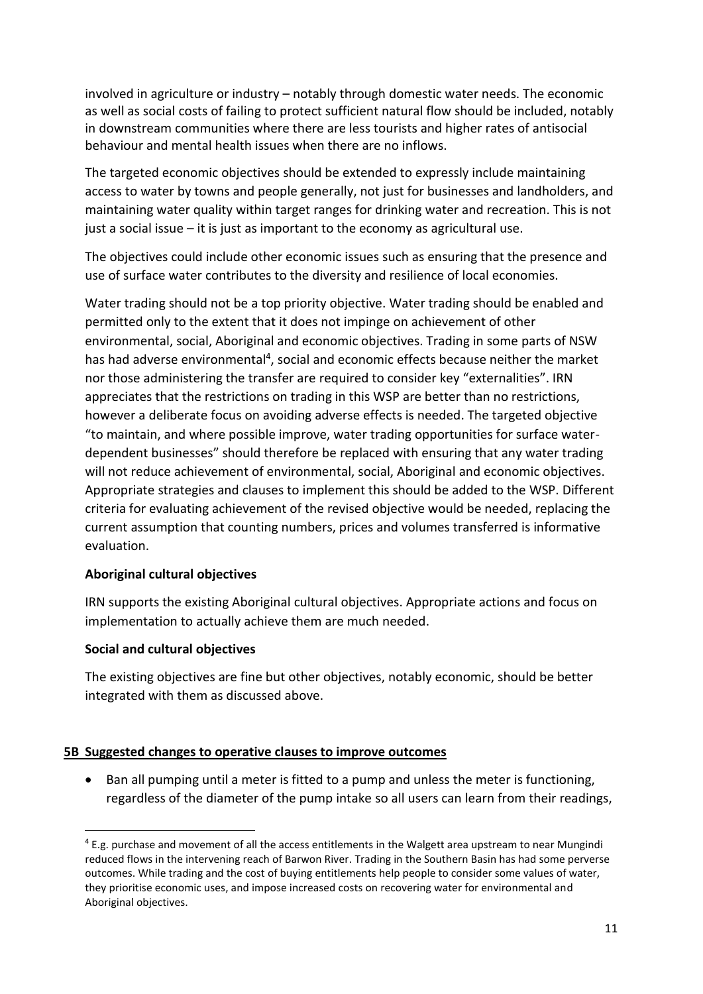involved in agriculture or industry – notably through domestic water needs. The economic as well as social costs of failing to protect sufficient natural flow should be included, notably in downstream communities where there are less tourists and higher rates of antisocial behaviour and mental health issues when there are no inflows.

The targeted economic objectives should be extended to expressly include maintaining access to water by towns and people generally, not just for businesses and landholders, and maintaining water quality within target ranges for drinking water and recreation. This is not just a social issue – it is just as important to the economy as agricultural use.

The objectives could include other economic issues such as ensuring that the presence and use of surface water contributes to the diversity and resilience of local economies.

Water trading should not be a top priority objective. Water trading should be enabled and permitted only to the extent that it does not impinge on achievement of other environmental, social, Aboriginal and economic objectives. Trading in some parts of NSW has had adverse environmental<sup>4</sup>, social and economic effects because neither the market nor those administering the transfer are required to consider key "externalities". IRN appreciates that the restrictions on trading in this WSP are better than no restrictions, however a deliberate focus on avoiding adverse effects is needed. The targeted objective "to maintain, and where possible improve, water trading opportunities for surface waterdependent businesses" should therefore be replaced with ensuring that any water trading will not reduce achievement of environmental, social, Aboriginal and economic objectives. Appropriate strategies and clauses to implement this should be added to the WSP. Different criteria for evaluating achievement of the revised objective would be needed, replacing the current assumption that counting numbers, prices and volumes transferred is informative evaluation.

# **Aboriginal cultural objectives**

IRN supports the existing Aboriginal cultural objectives. Appropriate actions and focus on implementation to actually achieve them are much needed.

### **Social and cultural objectives**

The existing objectives are fine but other objectives, notably economic, should be better integrated with them as discussed above.

### **5B Suggested changes to operative clauses to improve outcomes**

• Ban all pumping until a meter is fitted to a pump and unless the meter is functioning, regardless of the diameter of the pump intake so all users can learn from their readings,

<sup>4</sup> E.g. purchase and movement of all the access entitlements in the Walgett area upstream to near Mungindi reduced flows in the intervening reach of Barwon River. Trading in the Southern Basin has had some perverse outcomes. While trading and the cost of buying entitlements help people to consider some values of water, they prioritise economic uses, and impose increased costs on recovering water for environmental and Aboriginal objectives.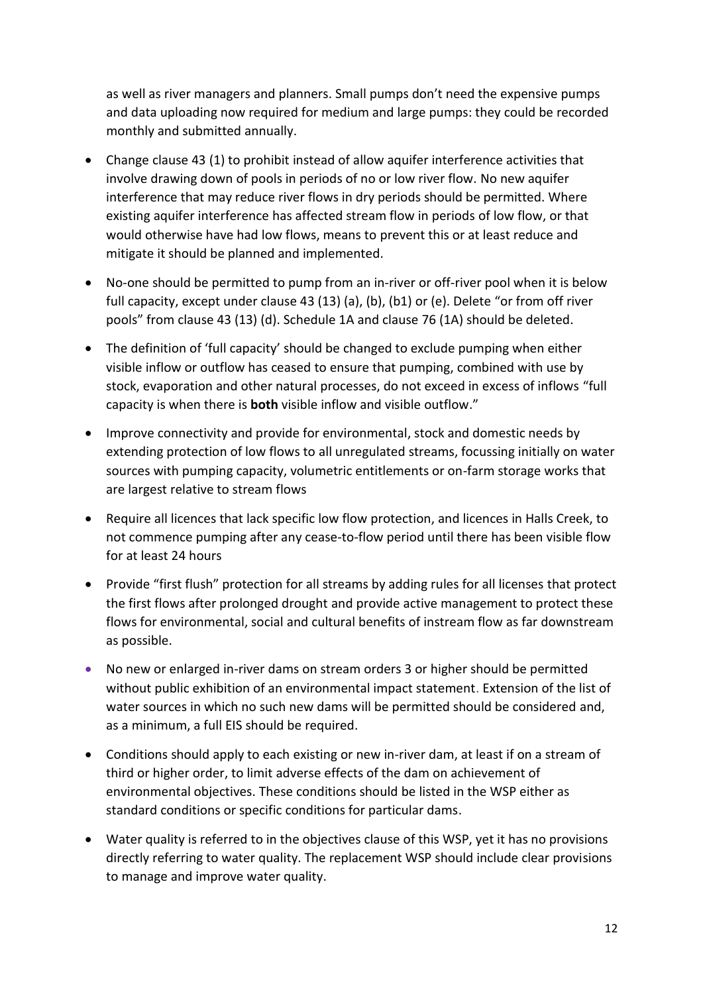as well as river managers and planners. Small pumps don't need the expensive pumps and data uploading now required for medium and large pumps: they could be recorded monthly and submitted annually.

- Change clause 43 (1) to prohibit instead of allow aquifer interference activities that involve drawing down of pools in periods of no or low river flow. No new aquifer interference that may reduce river flows in dry periods should be permitted. Where existing aquifer interference has affected stream flow in periods of low flow, or that would otherwise have had low flows, means to prevent this or at least reduce and mitigate it should be planned and implemented.
- No-one should be permitted to pump from an in-river or off-river pool when it is below full capacity, except under clause 43 (13) (a), (b), (b1) or (e). Delete "or from off river pools" from clause 43 (13) (d). Schedule 1A and clause 76 (1A) should be deleted.
- The definition of 'full capacity' should be changed to exclude pumping when either visible inflow or outflow has ceased to ensure that pumping, combined with use by stock, evaporation and other natural processes, do not exceed in excess of inflows "full capacity is when there is **both** visible inflow and visible outflow."
- Improve connectivity and provide for environmental, stock and domestic needs by extending protection of low flows to all unregulated streams, focussing initially on water sources with pumping capacity, volumetric entitlements or on-farm storage works that are largest relative to stream flows
- Require all licences that lack specific low flow protection, and licences in Halls Creek, to not commence pumping after any cease-to-flow period until there has been visible flow for at least 24 hours
- Provide "first flush" protection for all streams by adding rules for all licenses that protect the first flows after prolonged drought and provide active management to protect these flows for environmental, social and cultural benefits of instream flow as far downstream as possible.
- No new or enlarged in-river dams on stream orders 3 or higher should be permitted without public exhibition of an environmental impact statement. Extension of the list of water sources in which no such new dams will be permitted should be considered and, as a minimum, a full EIS should be required.
- Conditions should apply to each existing or new in-river dam, at least if on a stream of third or higher order, to limit adverse effects of the dam on achievement of environmental objectives. These conditions should be listed in the WSP either as standard conditions or specific conditions for particular dams.
- Water quality is referred to in the objectives clause of this WSP, yet it has no provisions directly referring to water quality. The replacement WSP should include clear provisions to manage and improve water quality.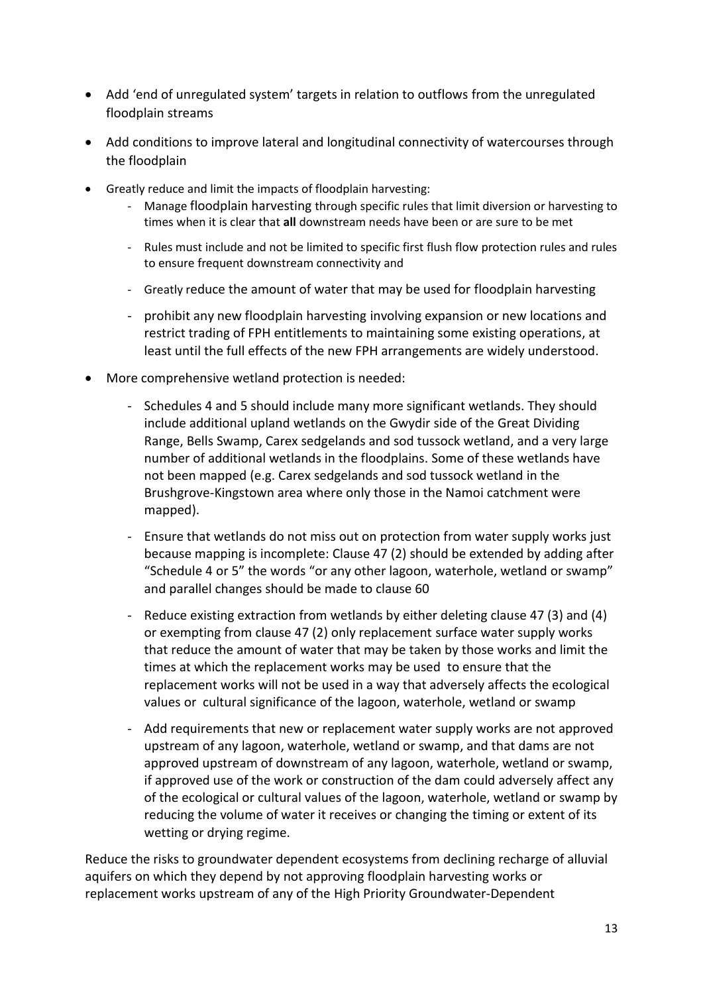- Add 'end of unregulated system' targets in relation to outflows from the unregulated floodplain streams
- Add conditions to improve lateral and longitudinal connectivity of watercourses through the floodplain
- Greatly reduce and limit the impacts of floodplain harvesting:
	- Manage floodplain harvesting through specific rules that limit diversion or harvesting to times when it is clear that **all** downstream needs have been or are sure to be met
	- Rules must include and not be limited to specific first flush flow protection rules and rules to ensure frequent downstream connectivity and
	- Greatly reduce the amount of water that may be used for floodplain harvesting
	- prohibit any new floodplain harvesting involving expansion or new locations and restrict trading of FPH entitlements to maintaining some existing operations, at least until the full effects of the new FPH arrangements are widely understood.
- More comprehensive wetland protection is needed:
	- Schedules 4 and 5 should include many more significant wetlands. They should include additional upland wetlands on the Gwydir side of the Great Dividing Range, Bells Swamp, Carex sedgelands and sod tussock wetland, and a very large number of additional wetlands in the floodplains. Some of these wetlands have not been mapped (e.g. Carex sedgelands and sod tussock wetland in the Brushgrove-Kingstown area where only those in the Namoi catchment were mapped).
	- Ensure that wetlands do not miss out on protection from water supply works just because mapping is incomplete: Clause 47 (2) should be extended by adding after "Schedule 4 or 5" the words "or any other lagoon, waterhole, wetland or swamp" and parallel changes should be made to clause 60
	- Reduce existing extraction from wetlands by either deleting clause 47 (3) and (4) or exempting from clause 47 (2) only replacement surface water supply works that reduce the amount of water that may be taken by those works and limit the times at which the replacement works may be used to ensure that the replacement works will not be used in a way that adversely affects the ecological values or cultural significance of the lagoon, waterhole, wetland or swamp
	- Add requirements that new or replacement water supply works are not approved upstream of any lagoon, waterhole, wetland or swamp, and that dams are not approved upstream of downstream of any lagoon, waterhole, wetland or swamp, if approved use of the work or construction of the dam could adversely affect any of the ecological or cultural values of the lagoon, waterhole, wetland or swamp by reducing the volume of water it receives or changing the timing or extent of its wetting or drying regime.

Reduce the risks to groundwater dependent ecosystems from declining recharge of alluvial aquifers on which they depend by not approving floodplain harvesting works or replacement works upstream of any of the High Priority Groundwater-Dependent